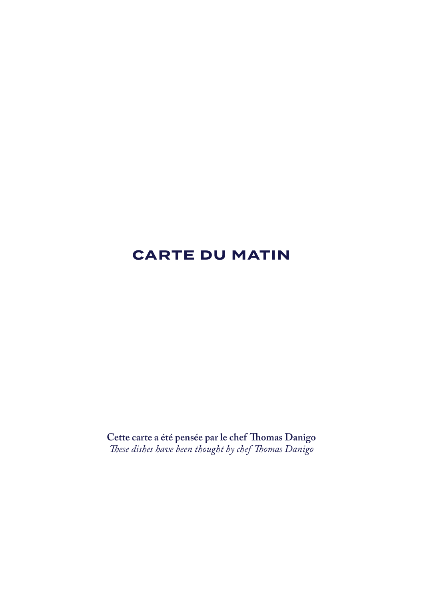# **CARTE DU MATIN**

**Cette carte a été pensée par le chef Thomas Danigo** *These dishes have been thought by chef Thomas Danigo*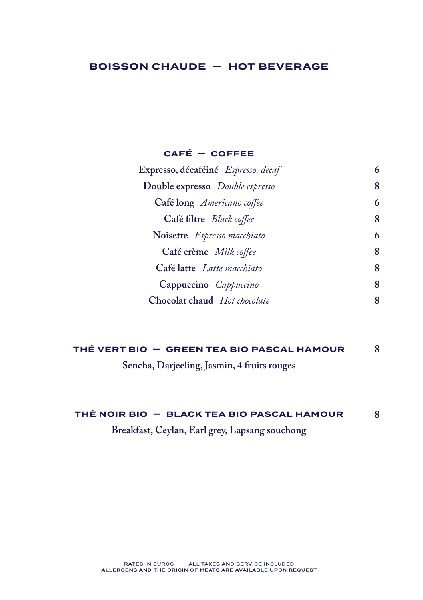# **BOISSON CHAUDE — HOT BEVERAGE**

### **CAFÉ — COFFEE**

| 6 |
|---|
| 8 |
| 6 |
| 8 |
| 6 |
| 8 |
| 8 |
| 8 |
|   |
|   |

| THÉ VERT BIO  —  GREEN TEA BIO PASCAL HAMOUR |  |
|----------------------------------------------|--|
|----------------------------------------------|--|

**Sencha, Darjeeling, Jasmin, 4 fruits rouges**

#### **THÉ NOIR BIO — BLACK TEA BIO PASCAL HAMOUR 8**

**Breakfast, Ceylan, Earl grey, Lapsang souchong**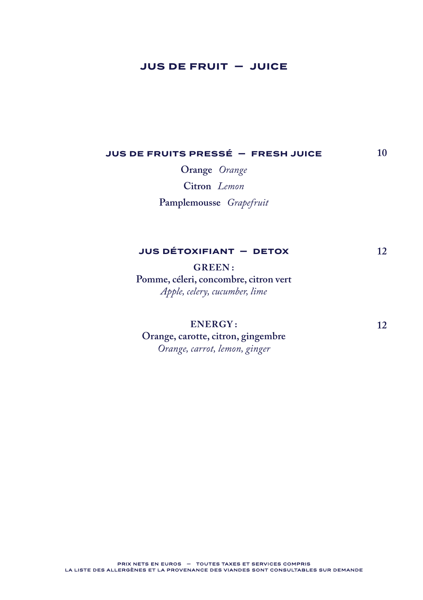# **JUS DE FRUIT — JUICE**

#### **JUS DE FRUITS PRESSÉ — FRESH JUICE 10**

**Orange** *Orange* **Citron** *Lemon* **Pamplemousse** *Grapefruit*

## **JUS DÉTOXIFIANT — DETOX**

**GREEN : Pomme, céleri, concombre, citron vert** *Apple, celery, cucumber, lime*

**ENERGY :**

**Orange, carotte, citron, gingembre** *Orange, carrot, lemon, ginger*

**12**

**12**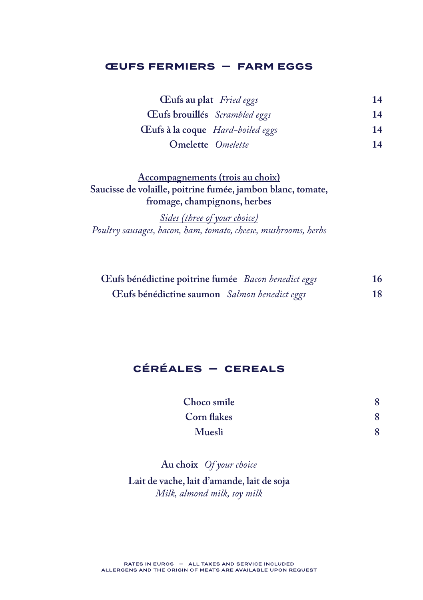### **ŒUFS FERMIERS — FARM EGGS**

| Cufs au plat Fried eggs                 | 14 |
|-----------------------------------------|----|
| Œufs brouillés Scrambled eggs           | 14 |
| <b>Eufs à la coque</b> Hard-boiled eggs | 14 |
| <b>Omelette</b> <i>Omelette</i>         | 14 |

# **Accompagnements (trois au choix) Saucisse de volaille, poitrine fumée, jambon blanc, tomate, fromage, champignons, herbes**

*Sides (three of your choice) Poultry sausages, bacon, ham, tomato, cheese, mushrooms, herbs*

| Eufs bénédictine poitrine fumée Bacon benedict eggs | 16 |
|-----------------------------------------------------|----|
| Eufs bénédictine saumon Salmon benedict eggs        | 18 |

# **CÉRÉALES — CEREALS**

| Choco smile |  |
|-------------|--|
| Corn flakes |  |
| Muesli      |  |

## **Au choix** *Of your choice*

**Lait de vache, lait d'amande, lait de soja** *Milk, almond milk, soy milk*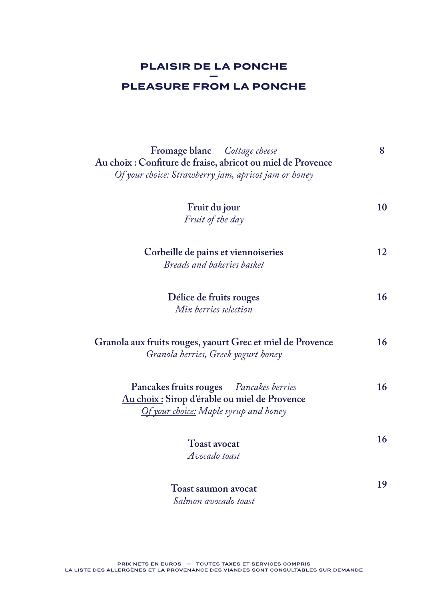## **PLAISIR DE LA PONCHE — PLEASURE FROM LA PONCHE**

| <b>Fromage blanc</b> Cottage cheese                         | 8  |
|-------------------------------------------------------------|----|
| Au choix : Confiture de fraise, abricot ou miel de Provence |    |
| Of your choice: Strawberry jam, apricot jam or honey        |    |
|                                                             |    |
|                                                             |    |
| Fruit du jour                                               | 10 |
| Fruit of the day                                            |    |
|                                                             |    |
|                                                             | 12 |
| Corbeille de pains et viennoiseries                         |    |
| Breads and bakeries basket                                  |    |
|                                                             |    |
| Délice de fruits rouges                                     | 16 |
| Mix berries selection                                       |    |
|                                                             |    |
|                                                             |    |
| Granola aux fruits rouges, yaourt Grec et miel de Provence  | 16 |
| Granola berries, Greek yogurt honey                         |    |
|                                                             |    |
| Pancakes fruits rouges Pancakes berries                     | 16 |
| Au choix : Sirop d'érable ou miel de Provence               |    |
| Of your choice: Maple syrup and honey                       |    |
|                                                             |    |
|                                                             | 16 |
| <b>Toast avocat</b>                                         |    |
| Avocado toast                                               |    |
|                                                             |    |
| Toast saumon avocat                                         | 19 |
| Salmon avocado toast                                        |    |
|                                                             |    |